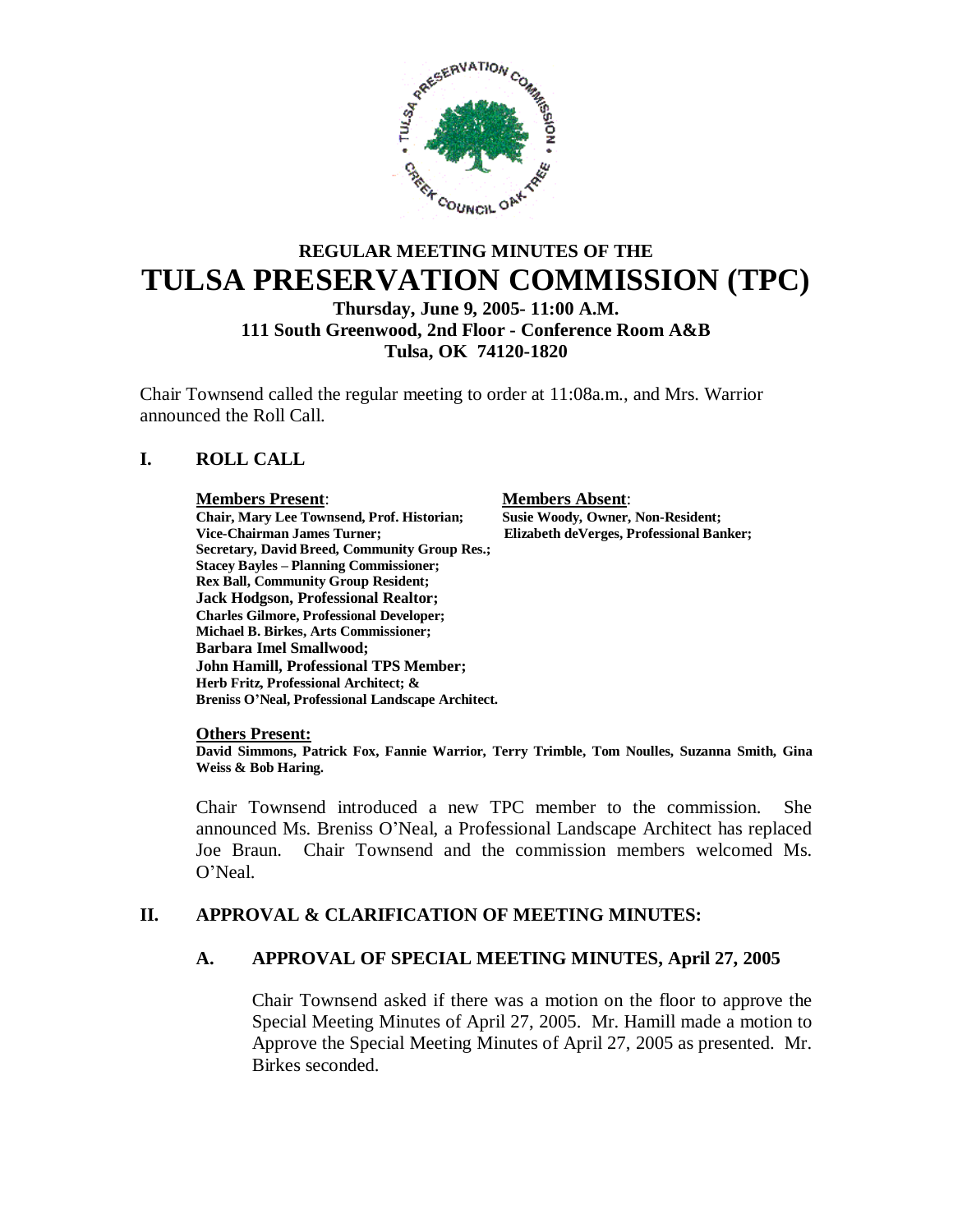

# **REGULAR MEETING MINUTES OF THE TULSA PRESERVATION COMMISSION (TPC) Thursday, June 9, 2005- 11:00 A.M.**

# **111 South Greenwood, 2nd Floor - Conference Room A&B Tulsa, OK 74120-1820**

Chair Townsend called the regular meeting to order at 11:08a.m., and Mrs. Warrior announced the Roll Call.

# **I. ROLL CALL**

#### **Members Present**: **Members Absent**:

**Chair, Mary Lee Townsend, Prof. Historian; Susie Woody, Owner, Non-Resident; Vice-Chairman James Turner; Elizabeth deVerges, Professional Banker; Secretary, David Breed, Community Group Res.; Stacey Bayles – Planning Commissioner; Rex Ball, Community Group Resident; Jack Hodgson, Professional Realtor; Charles Gilmore, Professional Developer; Michael B. Birkes, Arts Commissioner; Barbara Imel Smallwood; John Hamill, Professional TPS Member; Herb Fritz, Professional Architect; & Breniss O'Neal, Professional Landscape Architect.**

#### **Others Present:**

**David Simmons, Patrick Fox, Fannie Warrior, Terry Trimble, Tom Noulles, Suzanna Smith, Gina Weiss & Bob Haring.**

Chair Townsend introduced a new TPC member to the commission. She announced Ms. Breniss O'Neal, a Professional Landscape Architect has replaced Joe Braun. Chair Townsend and the commission members welcomed Ms. O'Neal.

# **II. APPROVAL & CLARIFICATION OF MEETING MINUTES:**

### **A. APPROVAL OF SPECIAL MEETING MINUTES, April 27, 2005**

Chair Townsend asked if there was a motion on the floor to approve the Special Meeting Minutes of April 27, 2005. Mr. Hamill made a motion to Approve the Special Meeting Minutes of April 27, 2005 as presented. Mr. Birkes seconded.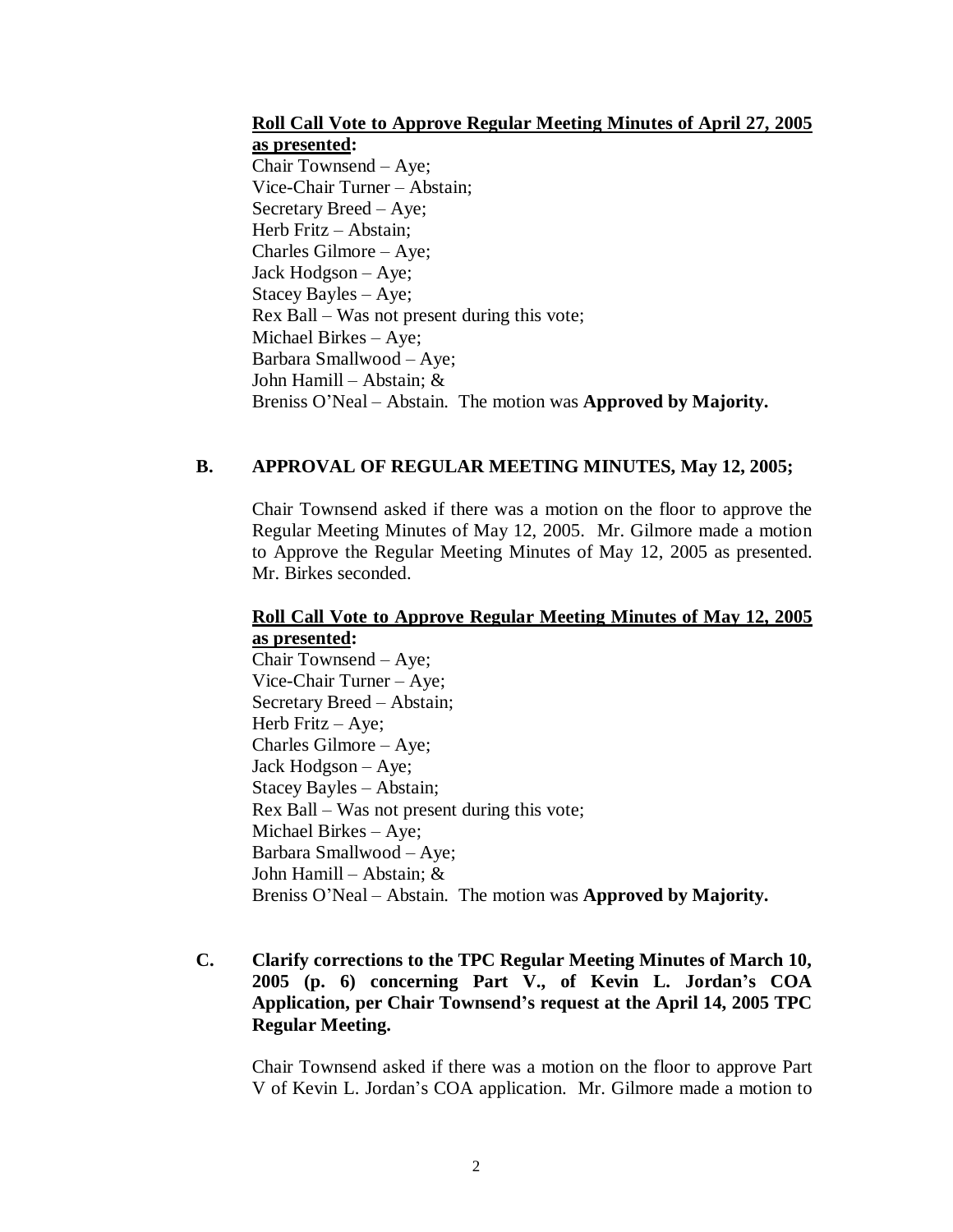#### **Roll Call Vote to Approve Regular Meeting Minutes of April 27, 2005 as presented:**

Chair Townsend – Aye; Vice-Chair Turner – Abstain; Secretary Breed – Aye; Herb Fritz – Abstain; Charles Gilmore – Aye; Jack Hodgson – Aye; Stacey Bayles – Aye; Rex Ball – Was not present during this vote; Michael Birkes – Aye; Barbara Smallwood – Aye; John Hamill – Abstain; & Breniss O'Neal – Abstain. The motion was **Approved by Majority.**

# **B. APPROVAL OF REGULAR MEETING MINUTES, May 12, 2005;**

Chair Townsend asked if there was a motion on the floor to approve the Regular Meeting Minutes of May 12, 2005. Mr. Gilmore made a motion to Approve the Regular Meeting Minutes of May 12, 2005 as presented. Mr. Birkes seconded.

### **Roll Call Vote to Approve Regular Meeting Minutes of May 12, 2005 as presented:**

Chair Townsend – Aye; Vice-Chair Turner – Aye; Secretary Breed – Abstain; Herb Fritz – Aye; Charles Gilmore – Aye; Jack Hodgson – Aye; Stacey Bayles – Abstain; Rex Ball – Was not present during this vote; Michael Birkes – Aye; Barbara Smallwood – Aye; John Hamill – Abstain; & Breniss O'Neal – Abstain. The motion was **Approved by Majority.**

# **C. Clarify corrections to the TPC Regular Meeting Minutes of March 10, 2005 (p. 6) concerning Part V., of Kevin L. Jordan's COA Application, per Chair Townsend's request at the April 14, 2005 TPC Regular Meeting.**

Chair Townsend asked if there was a motion on the floor to approve Part V of Kevin L. Jordan's COA application. Mr. Gilmore made a motion to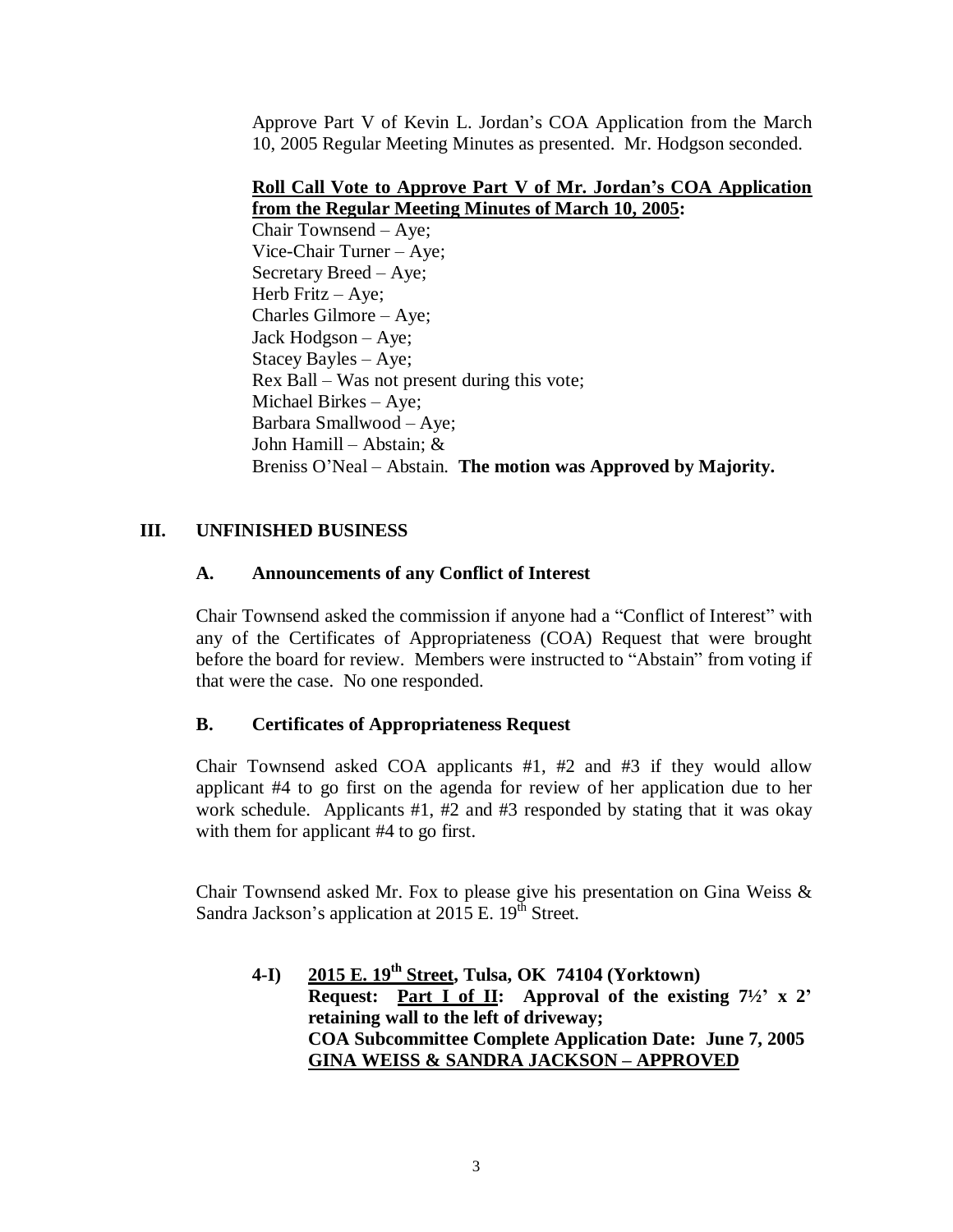Approve Part V of Kevin L. Jordan's COA Application from the March 10, 2005 Regular Meeting Minutes as presented. Mr. Hodgson seconded.

### **Roll Call Vote to Approve Part V of Mr. Jordan's COA Application from the Regular Meeting Minutes of March 10, 2005:**

Chair Townsend – Aye; Vice-Chair Turner – Aye; Secretary Breed – Aye; Herb Fritz – Aye; Charles Gilmore – Aye; Jack Hodgson – Aye; Stacey Bayles – Aye; Rex Ball – Was not present during this vote; Michael Birkes – Aye; Barbara Smallwood – Aye; John Hamill – Abstain; & Breniss O'Neal – Abstain. **The motion was Approved by Majority.**

# **III. UNFINISHED BUSINESS**

# **A. Announcements of any Conflict of Interest**

Chair Townsend asked the commission if anyone had a "Conflict of Interest" with any of the Certificates of Appropriateness (COA) Request that were brought before the board for review. Members were instructed to "Abstain" from voting if that were the case. No one responded.

# **B. Certificates of Appropriateness Request**

Chair Townsend asked COA applicants #1, #2 and #3 if they would allow applicant #4 to go first on the agenda for review of her application due to her work schedule. Applicants #1, #2 and #3 responded by stating that it was okay with them for applicant #4 to go first.

Chair Townsend asked Mr. Fox to please give his presentation on Gina Weiss & Sandra Jackson's application at  $2015$  E.  $19^{th}$  Street.

**4-I) 2015 E. 19th Street, Tulsa, OK 74104 (Yorktown) Request: Part I of II: Approval of the existing 7½' x 2' retaining wall to the left of driveway; COA Subcommittee Complete Application Date: June 7, 2005 GINA WEISS & SANDRA JACKSON –APPROVED**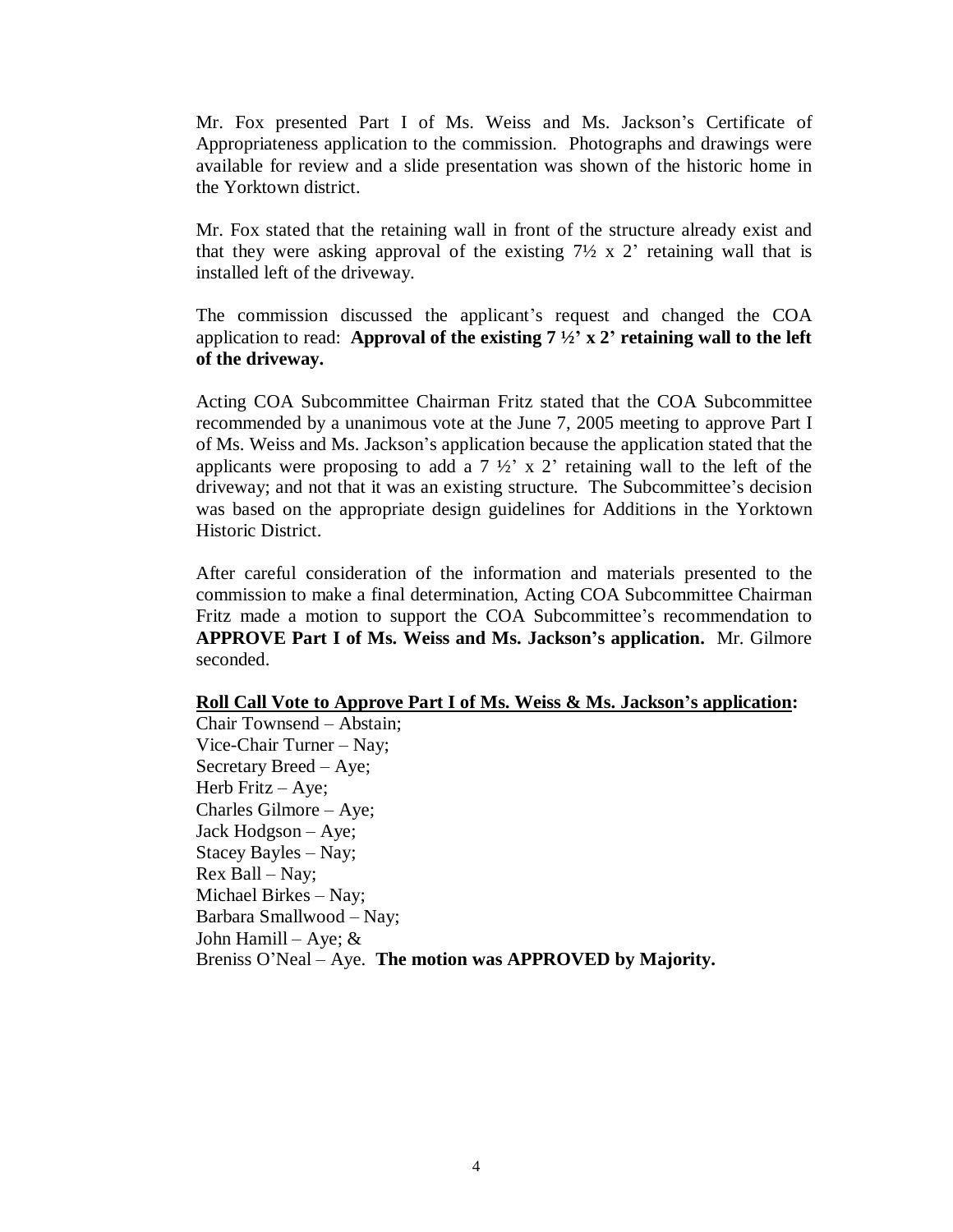Mr. Fox presented Part I of Ms. Weiss and Ms. Jackson's Certificate of Appropriateness application to the commission. Photographs and drawings were available for review and a slide presentation was shown of the historic home in the Yorktown district.

Mr. Fox stated that the retaining wall in front of the structure already exist and that they were asking approval of the existing  $7\frac{1}{2} \times 2$  retaining wall that is installed left of the driveway.

The commission discussed the applicant's request and changed the COA application to read: **Approval of the existing**  $7\frac{1}{2}$ **<sup>'</sup> x 2<sup>'</sup> retaining wall to the left of the driveway.** 

Acting COA Subcommittee Chairman Fritz stated that the COA Subcommittee recommended by a unanimous vote at the June 7, 2005 meeting to approve Part I of Ms. Weiss and Ms. Jackson's application because the application stated that the applicants were proposing to add a  $7\frac{1}{2}$  x 2' retaining wall to the left of the driveway; and not that it was an existing structure. The Subcommittee's decision was based on the appropriate design guidelines for Additions in the Yorktown Historic District.

After careful consideration of the information and materials presented to the commission to make a final determination, Acting COA Subcommittee Chairman Fritz made a motion to support the COA Subcommittee's recommendation to **APPROVE Part I of Ms. Weiss and Ms. Jackson's application.** Mr. Gilmore seconded.

#### **Roll Call Vote to Approve Part I of Ms. Weiss & Ms. Jackson's application:**

Chair Townsend – Abstain; Vice-Chair Turner – Nay; Secretary Breed – Aye; Herb Fritz – Aye; Charles Gilmore – Aye; Jack Hodgson – Aye; Stacey Bayles – Nay; Rex Ball – Nay; Michael Birkes – Nay; Barbara Smallwood –Nay; John Hamill – Aye; & Breniss O'Neal – Aye. **The motion was APPROVED by Majority.**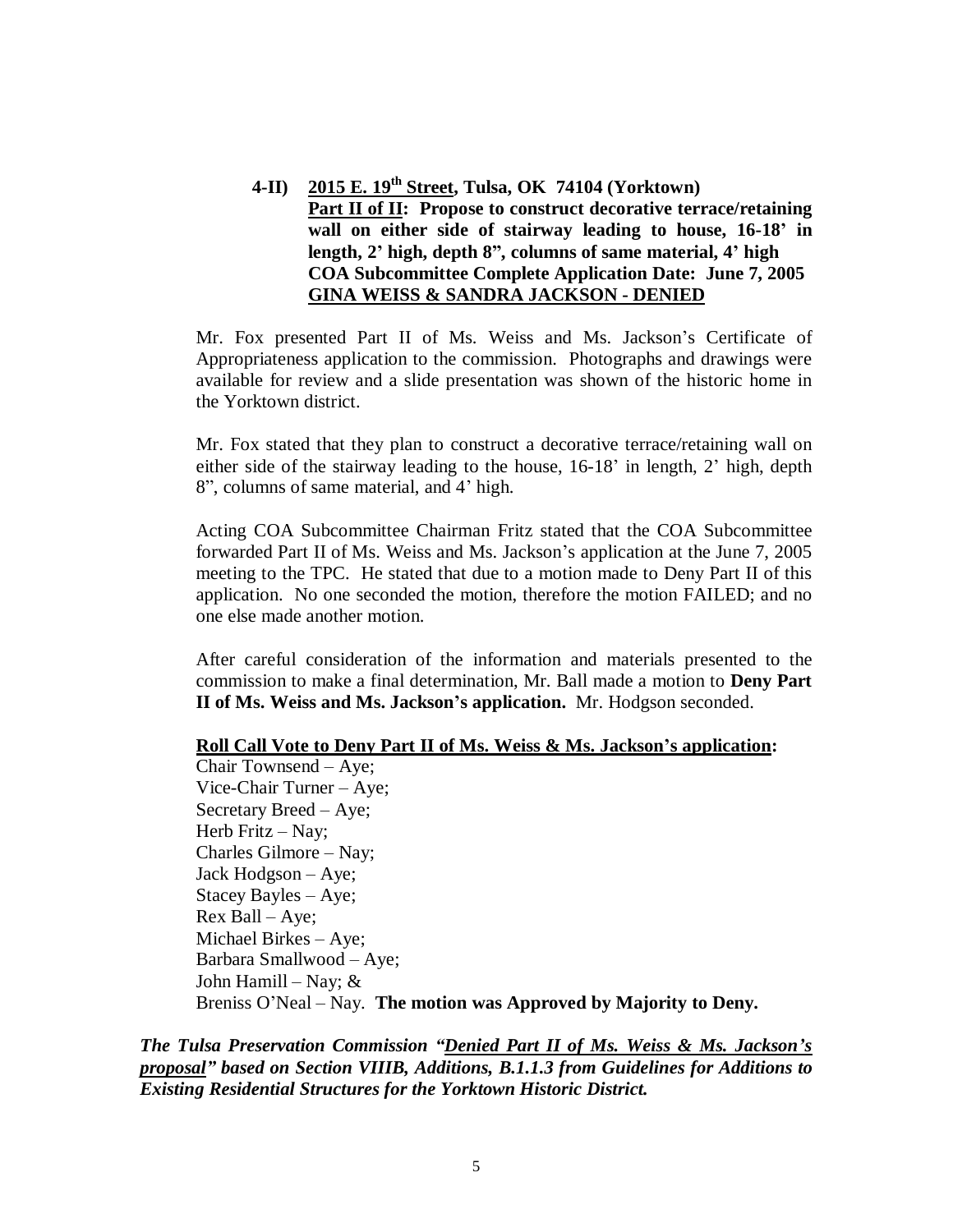**4-II) 2015 E. 19th Street, Tulsa, OK 74104 (Yorktown) Part II of II: Propose to construct decorative terrace/retaining wall on either side of stairway leading to house, 16-18' in length, 2' high, depth 8", columns of same material, 4' high COA Subcommittee Complete Application Date: June 7, 2005 GINA WEISS & SANDRA JACKSON - DENIED**

Mr. Fox presented Part II of Ms. Weiss and Ms. Jackson's Certificate of Appropriateness application to the commission. Photographs and drawings were available for review and a slide presentation was shown of the historic home in the Yorktown district.

Mr. Fox stated that they plan to construct a decorative terrace/retaining wall on either side of the stairway leading to the house, 16-18' in length, 2' high, depth 8", columns of same material, and 4' high.

Acting COA Subcommittee Chairman Fritz stated that the COA Subcommittee forwarded Part II of Ms. Weiss and Ms. Jackson's application at the June 7, 2005 meeting to the TPC. He stated that due to a motion made to Deny Part II of this application. No one seconded the motion, therefore the motion FAILED; and no one else made another motion.

After careful consideration of the information and materials presented to the commission to make a final determination, Mr. Ball made a motion to **Deny Part II of Ms. Weiss and Ms. Jackson's application.** Mr. Hodgson seconded.

#### **Roll Call Vote to Deny Part II of Ms. Weiss & Ms. Jackson's application:**

Chair Townsend – Aye; Vice-Chair Turner –Aye; Secretary Breed – Aye; Herb Fritz  $-$  Nay; Charles Gilmore – Nay; Jack Hodgson – Aye; Stacey Bayles –Aye;  $Rex$  Ball – Aye; Michael Birkes –Aye; Barbara Smallwood –Aye; John Hamill – Nay;  $\&$ Breniss O'Neal –Nay. **The motion was Approved by Majority to Deny.**

*The Tulsa Preservation Commission "Denied Part II of Ms. Weiss & Ms. Jackson's proposal" based on Section VIIIB, Additions, B.1.1.3 from Guidelines for Additions to Existing Residential Structures for the Yorktown Historic District.*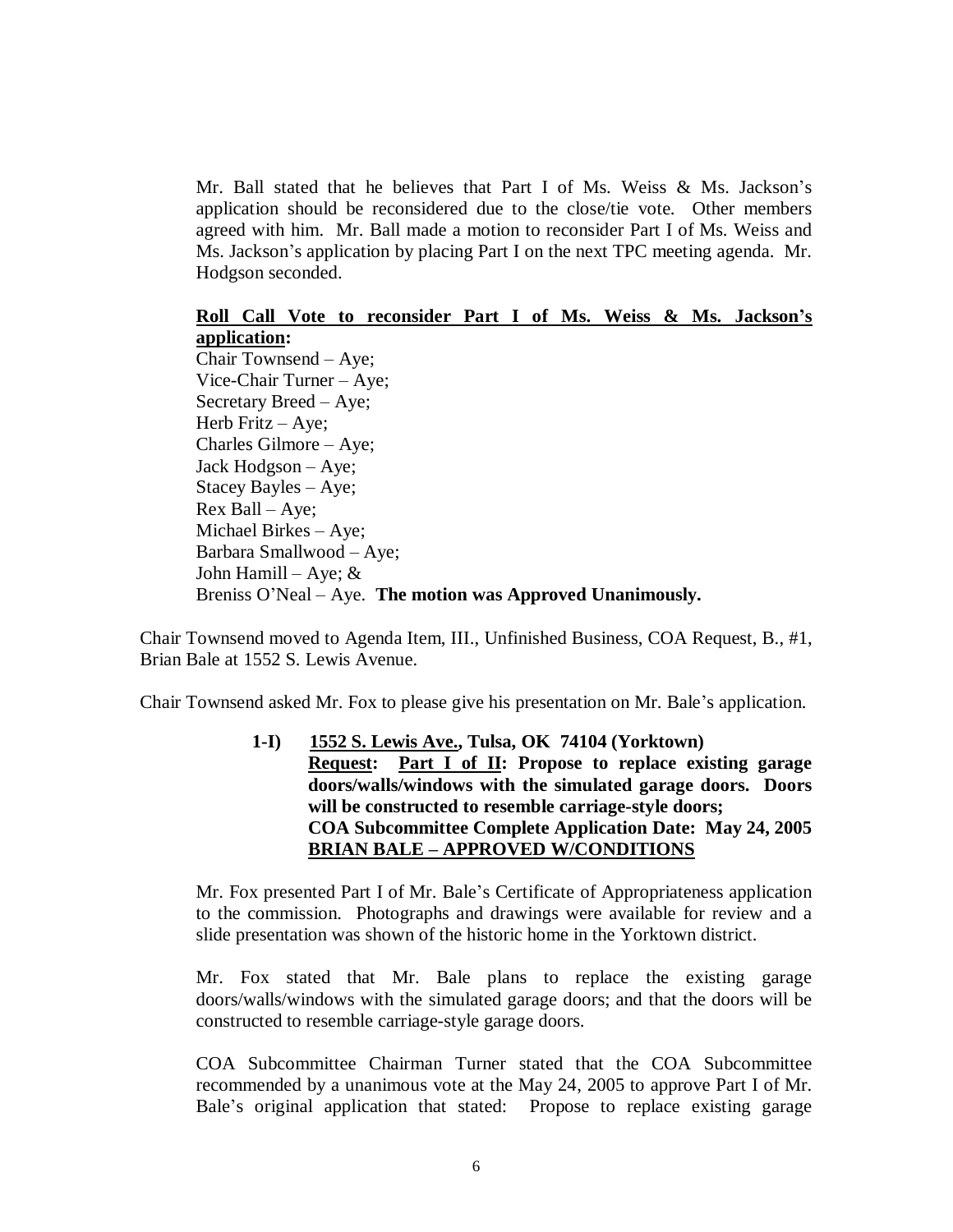Mr. Ball stated that he believes that Part I of Ms. Weiss  $\&$  Ms. Jackson's application should be reconsidered due to the close/tie vote. Other members agreed with him. Mr. Ball made a motion to reconsider Part I of Ms. Weiss and Ms. Jackson's application by placing Part I on the next TPC meeting agenda. Mr. Hodgson seconded.

#### **Roll Call Vote to reconsider Part I of Ms. Weiss & Ms. Jackson's application:**

Chair Townsend – Aye; Vice-Chair Turner – Aye; Secretary Breed – Aye; Herb Fritz – Aye; Charles Gilmore – Aye; Jack Hodgson – Aye; Stacey Bayles – Aye; Rex Ball – Aye; Michael Birkes – Aye; Barbara Smallwood – Aye; John Hamill – Aye;  $&$ Breniss O'Neal – Aye. **The motion was Approved Unanimously.**

Chair Townsend moved to Agenda Item, III., Unfinished Business, COA Request, B., #1, Brian Bale at 1552 S. Lewis Avenue.

Chair Townsend asked Mr. Fox to please give his presentation on Mr. Bale's application.

**1-I) 1552 S. Lewis Ave., Tulsa, OK 74104 (Yorktown) Request: Part I of II: Propose to replace existing garage doors/walls/windows with the simulated garage doors. Doors will be constructed to resemble carriage-style doors; COA Subcommittee Complete Application Date: May 24, 2005 BRIAN BALE – APPROVED W/CONDITIONS**

Mr. Fox presented Part I of Mr. Bale's Certificate of Appropriateness application to the commission. Photographs and drawings were available for review and a slide presentation was shown of the historic home in the Yorktown district.

Mr. Fox stated that Mr. Bale plans to replace the existing garage doors/walls/windows with the simulated garage doors; and that the doors will be constructed to resemble carriage-style garage doors.

COA Subcommittee Chairman Turner stated that the COA Subcommittee recommended by a unanimous vote at the May 24, 2005 to approve Part I of Mr. Bale's original application that stated: Propose to replace existing garage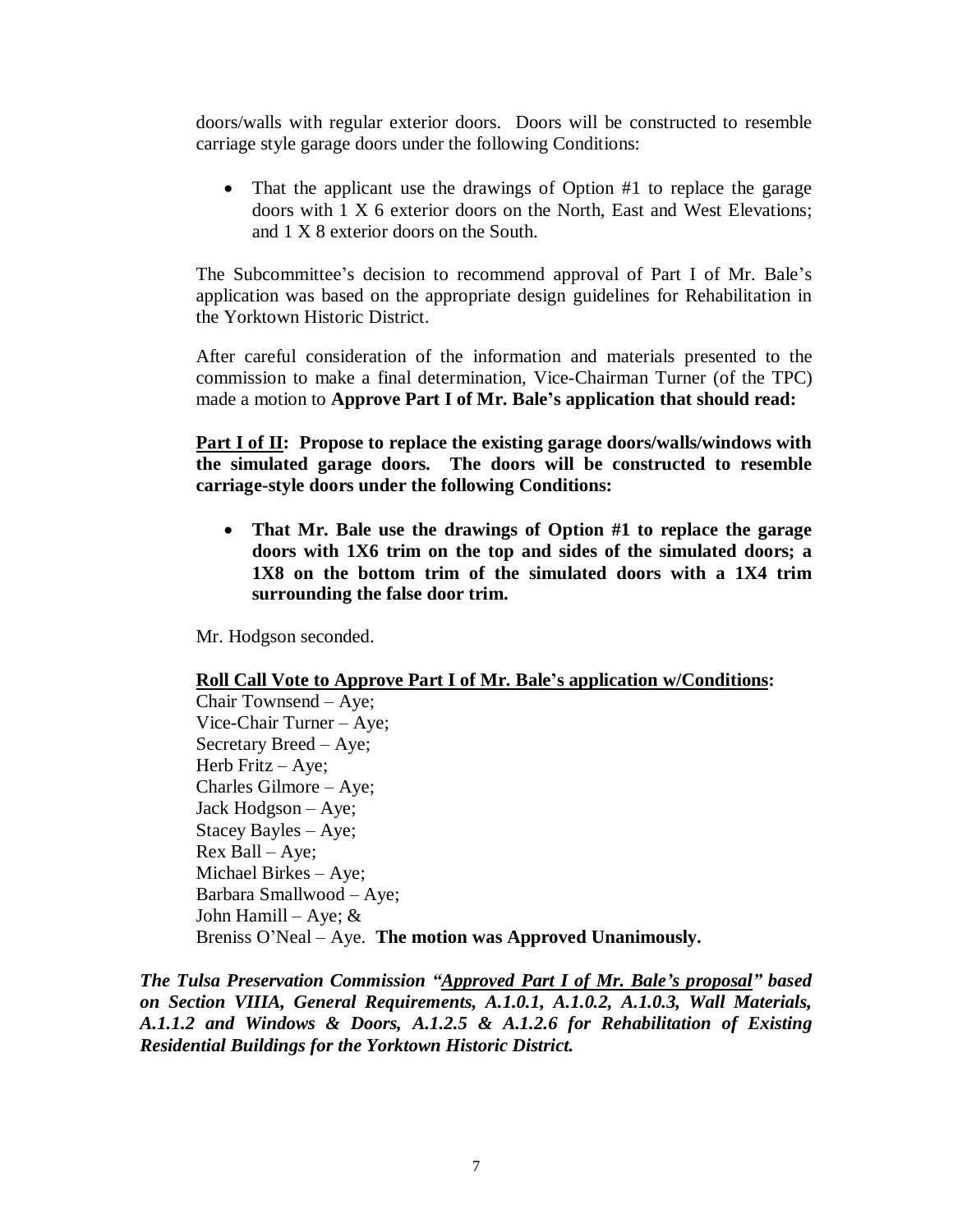doors/walls with regular exterior doors. Doors will be constructed to resemble carriage style garage doors under the following Conditions:

• That the applicant use the drawings of Option #1 to replace the garage doors with 1 X 6 exterior doors on the North, East and West Elevations; and 1 X 8 exterior doors on the South.

The Subcommittee's decision to recommend approval of Part I of Mr. Bale's application was based on the appropriate design guidelines for Rehabilitation in the Yorktown Historic District.

After careful consideration of the information and materials presented to the commission to make a final determination, Vice-Chairman Turner (of the TPC) made a motion to **Approve Part I of Mr. Bale's application that should read:**

**Part I of II: Propose to replace the existing garage doors/walls/windows with the simulated garage doors. The doors will be constructed to resemble carriage-style doors under the following Conditions:**

 **That Mr. Bale use the drawings of Option #1 to replace the garage doors with 1X6 trim on the top and sides of the simulated doors; a 1X8 on the bottom trim of the simulated doors with a 1X4 trim surrounding the false door trim.**

Mr. Hodgson seconded.

### **Roll Call Vote to Approve Part I of Mr. Bale's application w/Conditions:**

Chair Townsend – Aye; Vice-Chair Turner – Aye; Secretary Breed – Aye; Herb Fritz – Aye; Charles Gilmore –Aye; Jack Hodgson – Aye; Stacey Bayles – Aye; Rex Ball – Aye; Michael Birkes – Aye; Barbara Smallwood – Aye; John Hamill – Aye;  $&$ Breniss O'Neal –Aye. **The motion was Approved Unanimously.**

*The Tulsa Preservation Commission "Approved Part I of Mr. Bale's proposal" based on Section VIIIA, General Requirements, A.1.0.1, A.1.0.2, A.1.0.3, Wall Materials, A.1.1.2 and Windows & Doors, A.1.2.5 & A.1.2.6 for Rehabilitation of Existing Residential Buildings for the Yorktown Historic District.*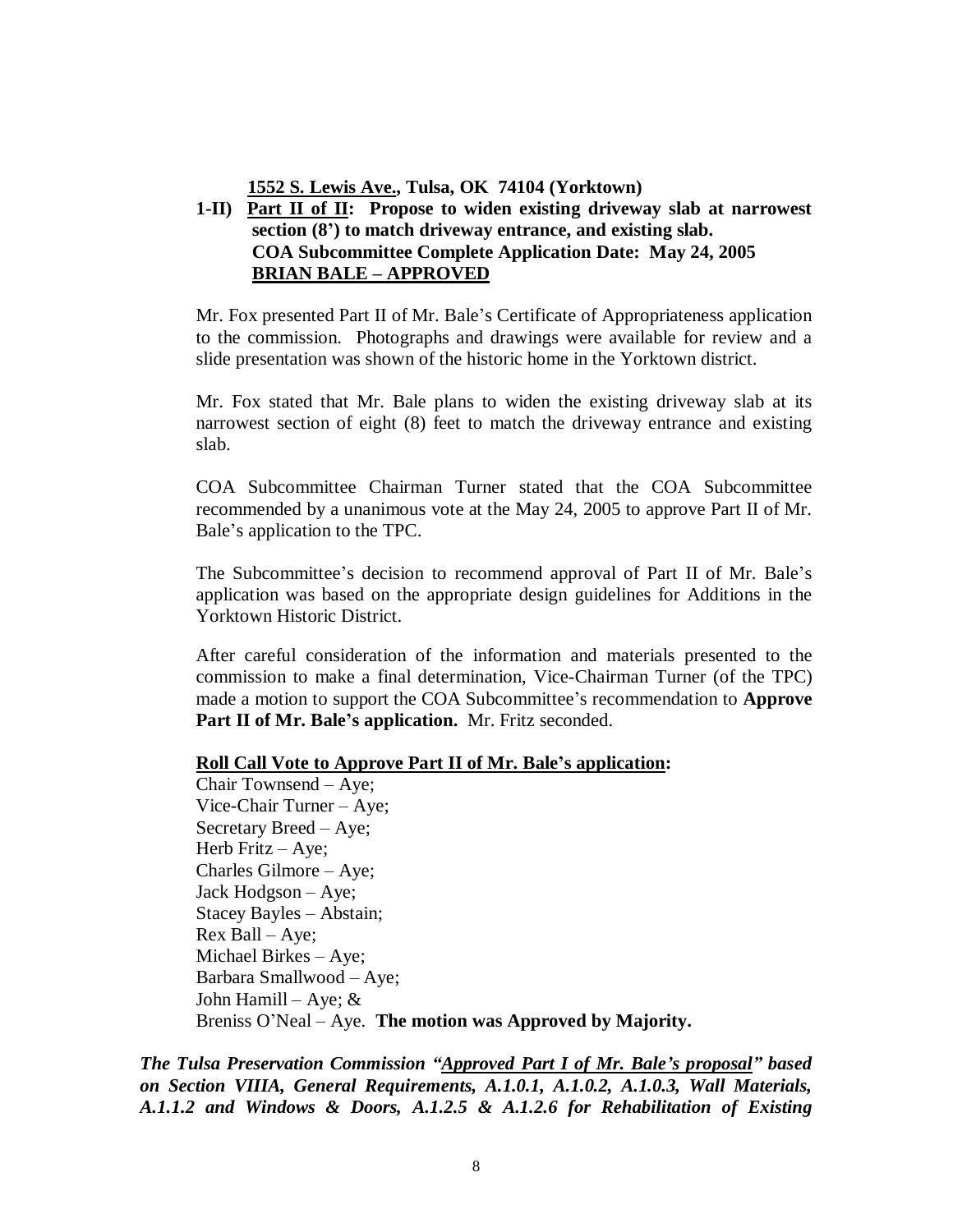**1552 S. Lewis Ave., Tulsa, OK 74104 (Yorktown)**

# **1-II) Part II of II: Propose to widen existing driveway slab at narrowest section (8') to match driveway entrance, and existing slab. COA Subcommittee Complete Application Date: May 24, 2005 BRIAN BALE – APPROVED**

Mr. Fox presented Part II of Mr. Bale's Certificate of Appropriateness application to the commission. Photographs and drawings were available for review and a slide presentation was shown of the historic home in the Yorktown district.

Mr. Fox stated that Mr. Bale plans to widen the existing driveway slab at its narrowest section of eight (8) feet to match the driveway entrance and existing slab.

COA Subcommittee Chairman Turner stated that the COA Subcommittee recommended by a unanimous vote at the May 24, 2005 to approve Part II of Mr. Bale's application to the TPC.

The Subcommittee's decision to recommend approval of Part II of Mr. Bale's application was based on the appropriate design guidelines for Additions in the Yorktown Historic District.

After careful consideration of the information and materials presented to the commission to make a final determination, Vice-Chairman Turner (of the TPC) made a motion to support the COA Subcommittee's recommendation to **Approve Part II of Mr. Bale's application.** Mr. Fritz seconded.

#### **Roll Call Vote to Approve Part II of Mr. Bale's application:**

Chair Townsend – Aye; Vice-Chair Turner – Aye; Secretary Breed – Aye; Herb Fritz – Aye; Charles Gilmore – Aye; Jack Hodgson – Aye; Stacey Bayles – Abstain; Rex Ball – Aye; Michael Birkes – Aye; Barbara Smallwood – Aye; John Hamill – Aye;  $&$ Breniss O'Neal – Aye. **The motion was Approved by Majority.**

*The Tulsa Preservation Commission "Approved Part I of Mr. Bale's proposal" based on Section VIIIA, General Requirements, A.1.0.1, A.1.0.2, A.1.0.3, Wall Materials, A.1.1.2 and Windows & Doors, A.1.2.5 & A.1.2.6 for Rehabilitation of Existing*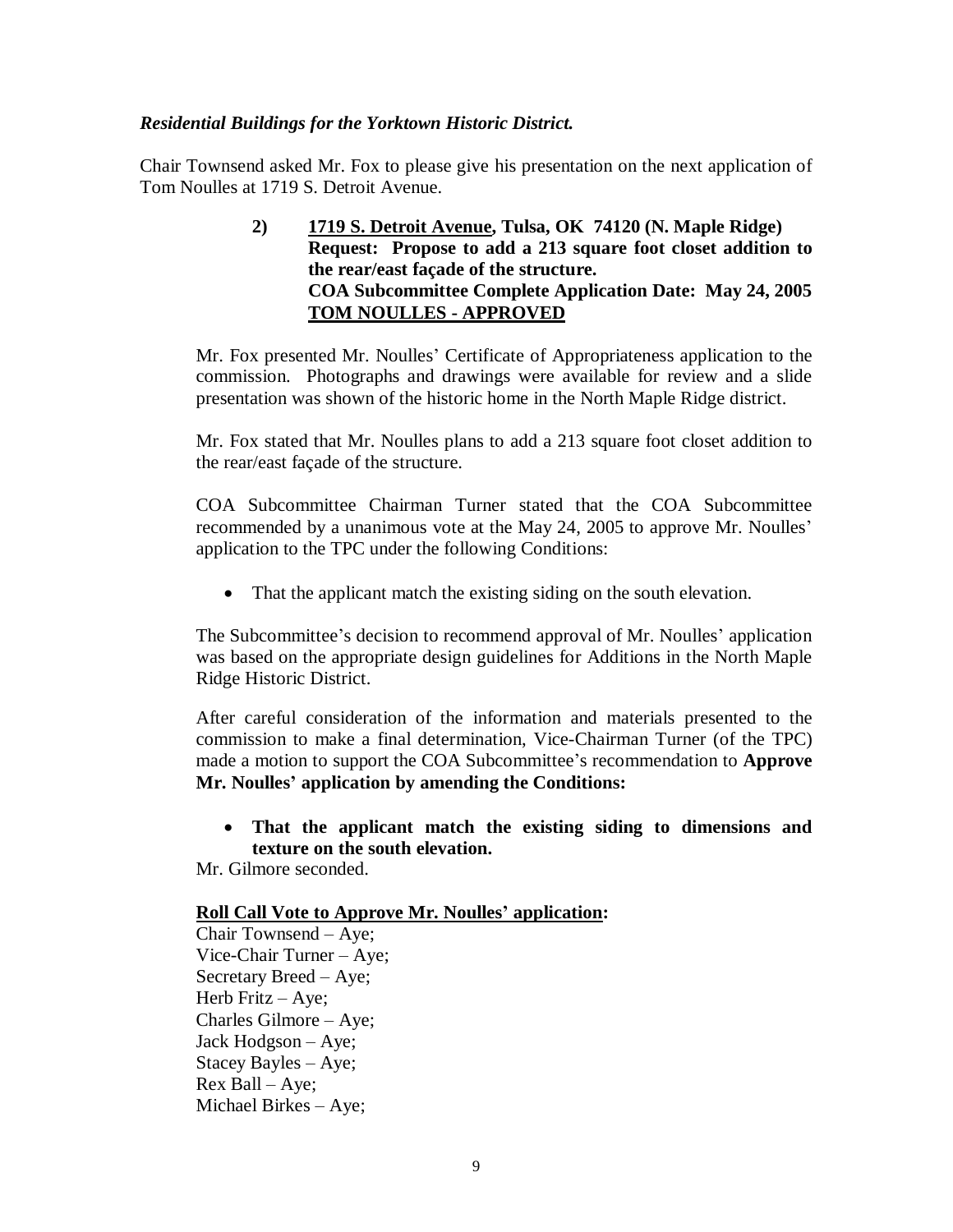### *Residential Buildings for the Yorktown Historic District.*

Chair Townsend asked Mr. Fox to please give his presentation on the next application of Tom Noulles at 1719 S. Detroit Avenue.

> **2) 1719 S. Detroit Avenue, Tulsa, OK 74120 (N. Maple Ridge) Request: Propose to add a 213 square foot closet addition to the rear/east façade of the structure. COA Subcommittee Complete Application Date: May 24, 2005 TOM NOULLES - APPROVED**

Mr. Fox presented Mr. Noulles' Certificate of Appropriateness application to the commission. Photographs and drawings were available for review and a slide presentation was shown of the historic home in the North Maple Ridge district.

Mr. Fox stated that Mr. Noulles plans to add a 213 square foot closet addition to the rear/east façade of the structure.

COA Subcommittee Chairman Turner stated that the COA Subcommittee recommended by a unanimous vote at the May 24, 2005 to approve Mr. Noulles' application to the TPC under the following Conditions:

• That the applicant match the existing siding on the south elevation.

The Subcommittee's decision to recommend approval of Mr. Noulles' application was based on the appropriate design guidelines for Additions in the North Maple Ridge Historic District.

After careful consideration of the information and materials presented to the commission to make a final determination, Vice-Chairman Turner (of the TPC) made a motion to support the COA Subcommittee's recommendation to **Approve Mr. Noulles'application by amending the Conditions:**

 **That the applicant match the existing siding to dimensions and texture on the south elevation.**

Mr. Gilmore seconded.

### **Roll Call Vote to Approve Mr. Noulles' application:**

Chair Townsend – Aye; Vice-Chair Turner – Aye; Secretary Breed – Aye; Herb Fritz – Aye; Charles Gilmore – Aye; Jack Hodgson – Aye; Stacey Bayles – Aye; Rex Ball – Aye; Michael Birkes – Aye;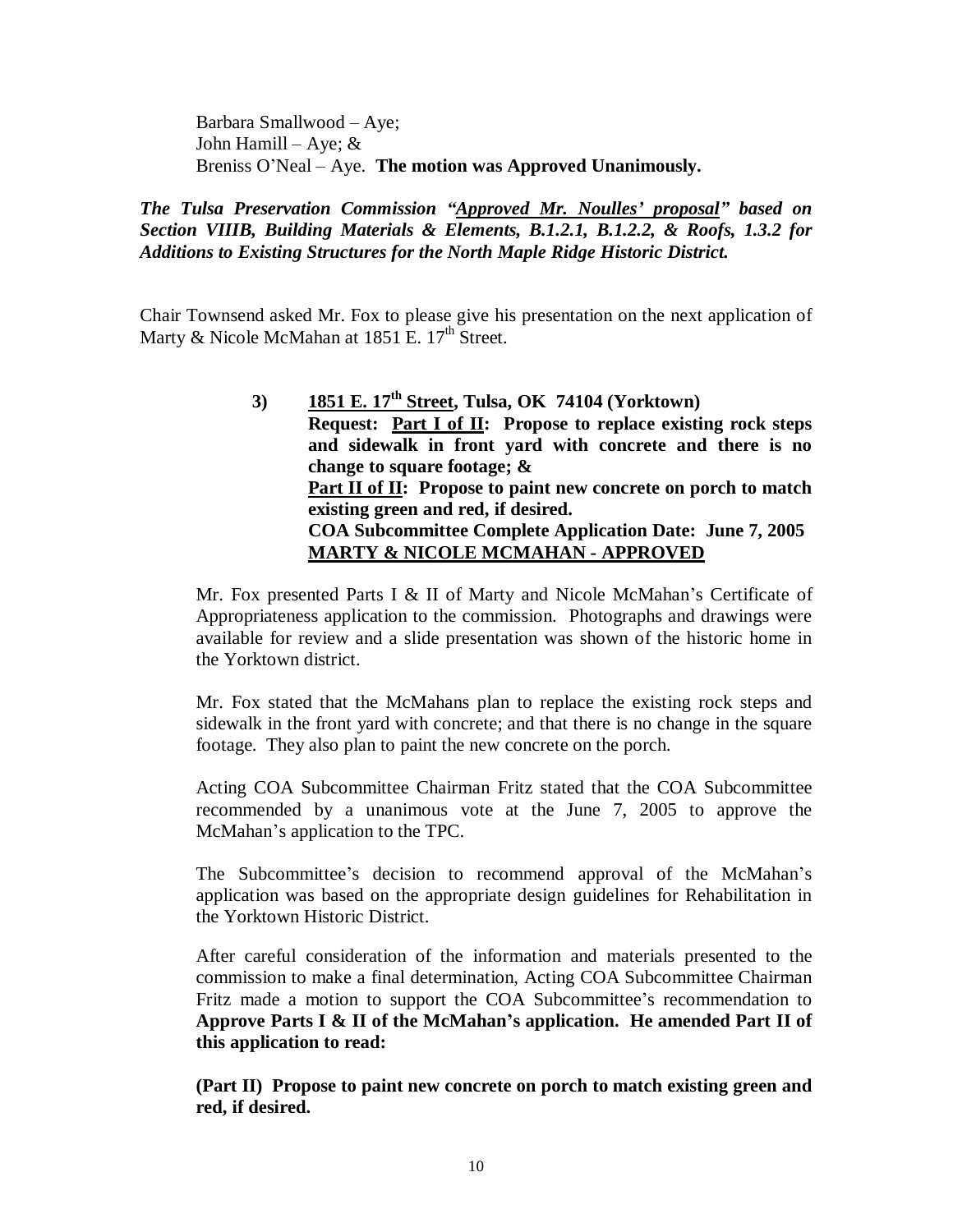Barbara Smallwood – Aye; John Hamill – Aye; & Breniss O'Neal – Aye. **The motion was Approved Unanimously.**

### *The Tulsa Preservation Commission "Approved Mr. Noulles'proposal" based on Section VIIIB, Building Materials & Elements, B.1.2.1, B.1.2.2, & Roofs, 1.3.2 for Additions to Existing Structures for the North Maple Ridge Historic District.*

Chair Townsend asked Mr. Fox to please give his presentation on the next application of Marty & Nicole McMahan at 1851 E.  $17<sup>th</sup>$  Street.

> **3) 1851 E. 17th Street, Tulsa, OK 74104 (Yorktown) Request: Part I of II: Propose to replace existing rock steps and sidewalk in front yard with concrete and there is no change to square footage; & Part II of II: Propose to paint new concrete on porch to match existing green and red, if desired. COA Subcommittee Complete Application Date: June 7, 2005 MARTY & NICOLE MCMAHAN - APPROVED**

Mr. Fox presented Parts I & II of Marty and Nicole McMahan's Certificate of Appropriateness application to the commission. Photographs and drawings were available for review and a slide presentation was shown of the historic home in the Yorktown district.

Mr. Fox stated that the McMahans plan to replace the existing rock steps and sidewalk in the front yard with concrete; and that there is no change in the square footage. They also plan to paint the new concrete on the porch.

Acting COA Subcommittee Chairman Fritz stated that the COA Subcommittee recommended by a unanimous vote at the June 7, 2005 to approve the McMahan's application to the TPC.

The Subcommittee's decision to recommend approval of the McMahan's application was based on the appropriate design guidelines for Rehabilitation in the Yorktown Historic District.

After careful consideration of the information and materials presented to the commission to make a final determination, Acting COA Subcommittee Chairman Fritz made a motion to support the COA Subcommittee's recommendation to **Approve Parts I & II of the McMahan's application. He amended Part II of this application to read:**

**(Part II) Propose to paint new concrete on porch to match existing green and red, if desired.**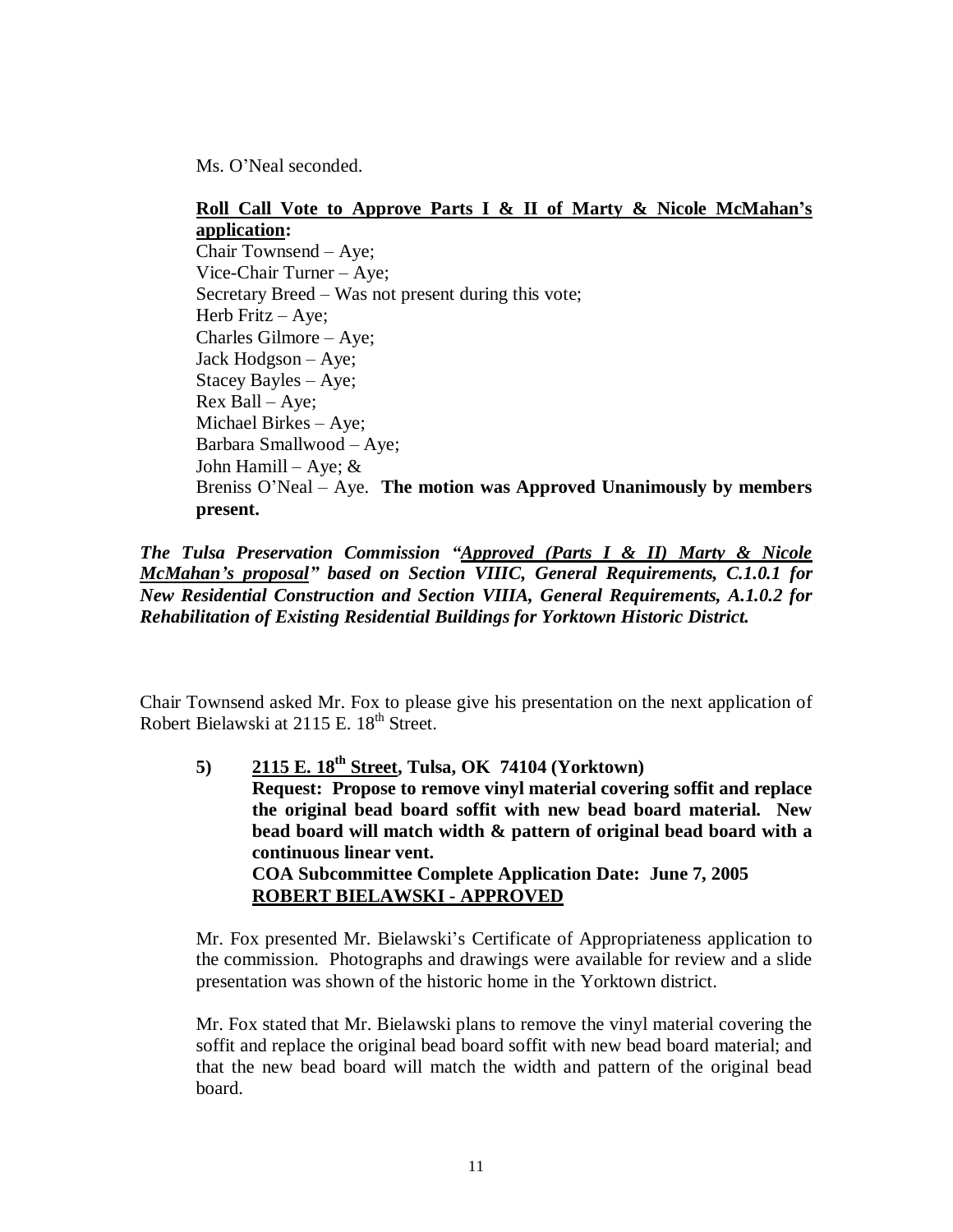Ms. O'Neal seconded.

### **Roll Call Vote to Approve Parts I & II of Marty & Nicole McMahan's application:**

Chair Townsend – Aye; Vice-Chair Turner – Aye; Secretary Breed –Was not present during this vote; Herb Fritz – Aye; Charles Gilmore – Aye; Jack Hodgson – Aye; Stacey Bayles – Aye; Rex Ball – Aye; Michael Birkes – Aye; Barbara Smallwood – Aye; John Hamill – Aye;  $&$ Breniss O'Neal – Aye. **The motion was Approved Unanimously by members present.**

*The Tulsa Preservation Commission "Approved (Parts I & II) Marty & Nicole McMahan's proposal" based on Section VIIIC, General Requirements, C.1.0.1 for New Residential Construction and Section VIIIA, General Requirements, A.1.0.2 for Rehabilitation of Existing Residential Buildings for Yorktown Historic District.*

Chair Townsend asked Mr. Fox to please give his presentation on the next application of Robert Bielawski at 2115 E. 18<sup>th</sup> Street.

**5) 2115 E. 18th Street, Tulsa, OK 74104 (Yorktown) Request: Propose to remove vinyl material covering soffit and replace the original bead board soffit with new bead board material. New bead board will match width & pattern of original bead board with a continuous linear vent. COA Subcommittee Complete Application Date: June 7, 2005 ROBERT BIELAWSKI - APPROVED**

Mr. Fox presented Mr. Bielawski's Certificate of Appropriateness application to the commission. Photographs and drawings were available for review and a slide presentation was shown of the historic home in the Yorktown district.

Mr. Fox stated that Mr. Bielawski plans to remove the vinyl material covering the soffit and replace the original bead board soffit with new bead board material; and that the new bead board will match the width and pattern of the original bead board.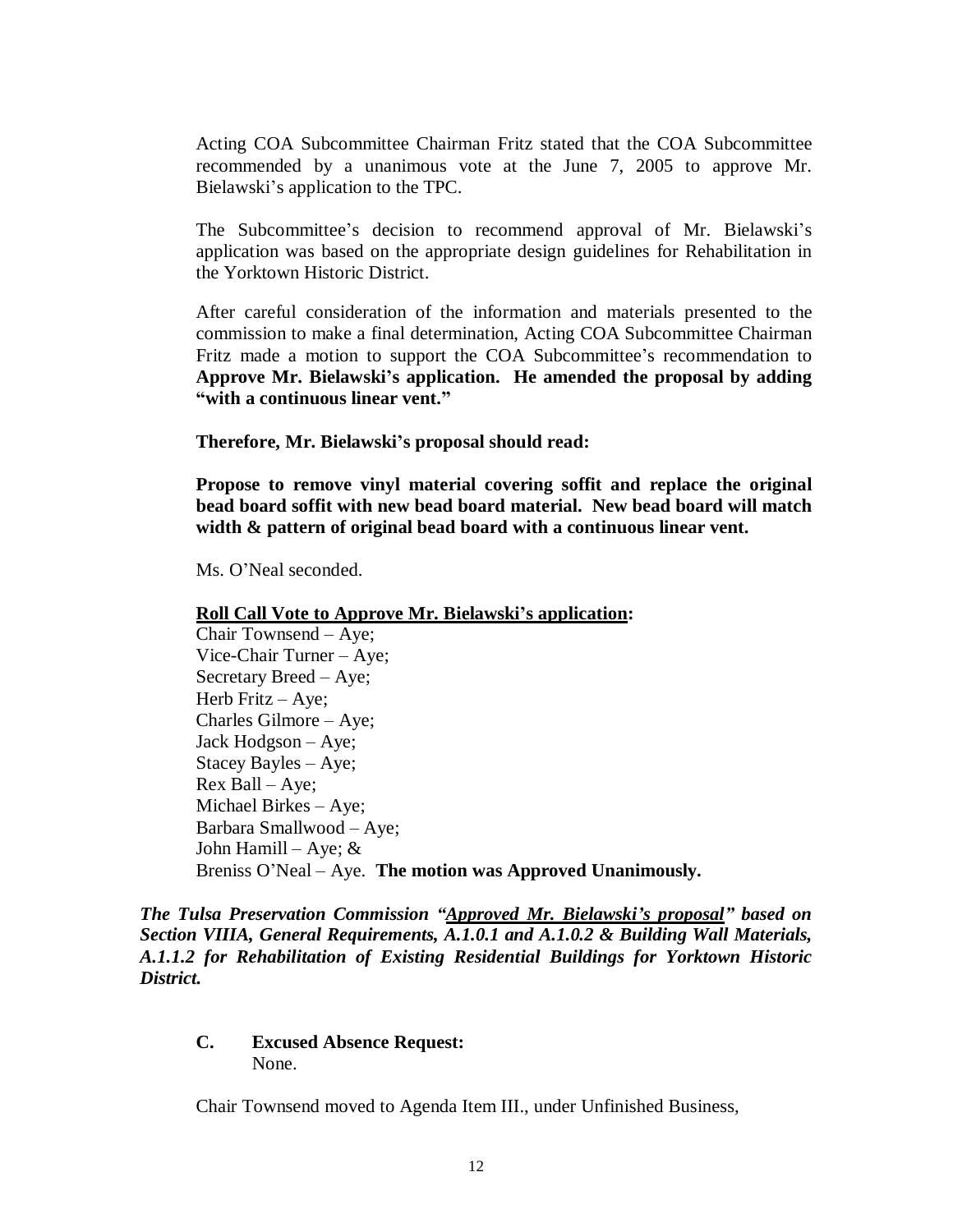Acting COA Subcommittee Chairman Fritz stated that the COA Subcommittee recommended by a unanimous vote at the June 7, 2005 to approve Mr. Bielawski's application to the TPC.

The Subcommittee's decision to recommend approval of Mr. Bielawski's application was based on the appropriate design guidelines for Rehabilitation in the Yorktown Historic District.

After careful consideration of the information and materials presented to the commission to make a final determination, Acting COA Subcommittee Chairman Fritz made a motion to support the COA Subcommittee's recommendation to **Approve Mr. Bielawski's application. He amended the proposal by adding "with a continuous linear vent."**

**Therefore, Mr. Bielawski's proposal should read:** 

**Propose to remove vinyl material covering soffit and replace the original bead board soffit with new bead board material. New bead board will match width & pattern of original bead board with a continuous linear vent.**

Ms. O'Neal seconded.

**Roll Call Vote to Approve Mr. Bielawski's application:**

Chair Townsend – Aye; Vice-Chair Turner – Aye; Secretary Breed –Aye; Herb Fritz – Aye; Charles Gilmore – Aye; Jack Hodgson – Aye; Stacey Bayles – Aye; Rex Ball – Aye; Michael Birkes – Aye; Barbara Smallwood – Aye; John Hamill – Aye;  $&$ Breniss O'Neal – Aye. **The motion was Approved Unanimously.**

*The Tulsa Preservation Commission "Approved Mr. Bielawski's proposal" based on Section VIIIA, General Requirements, A.1.0.1 and A.1.0.2 & Building Wall Materials, A.1.1.2 for Rehabilitation of Existing Residential Buildings for Yorktown Historic District.*

**C. Excused Absence Request:** None.

Chair Townsend moved to Agenda Item III., under Unfinished Business,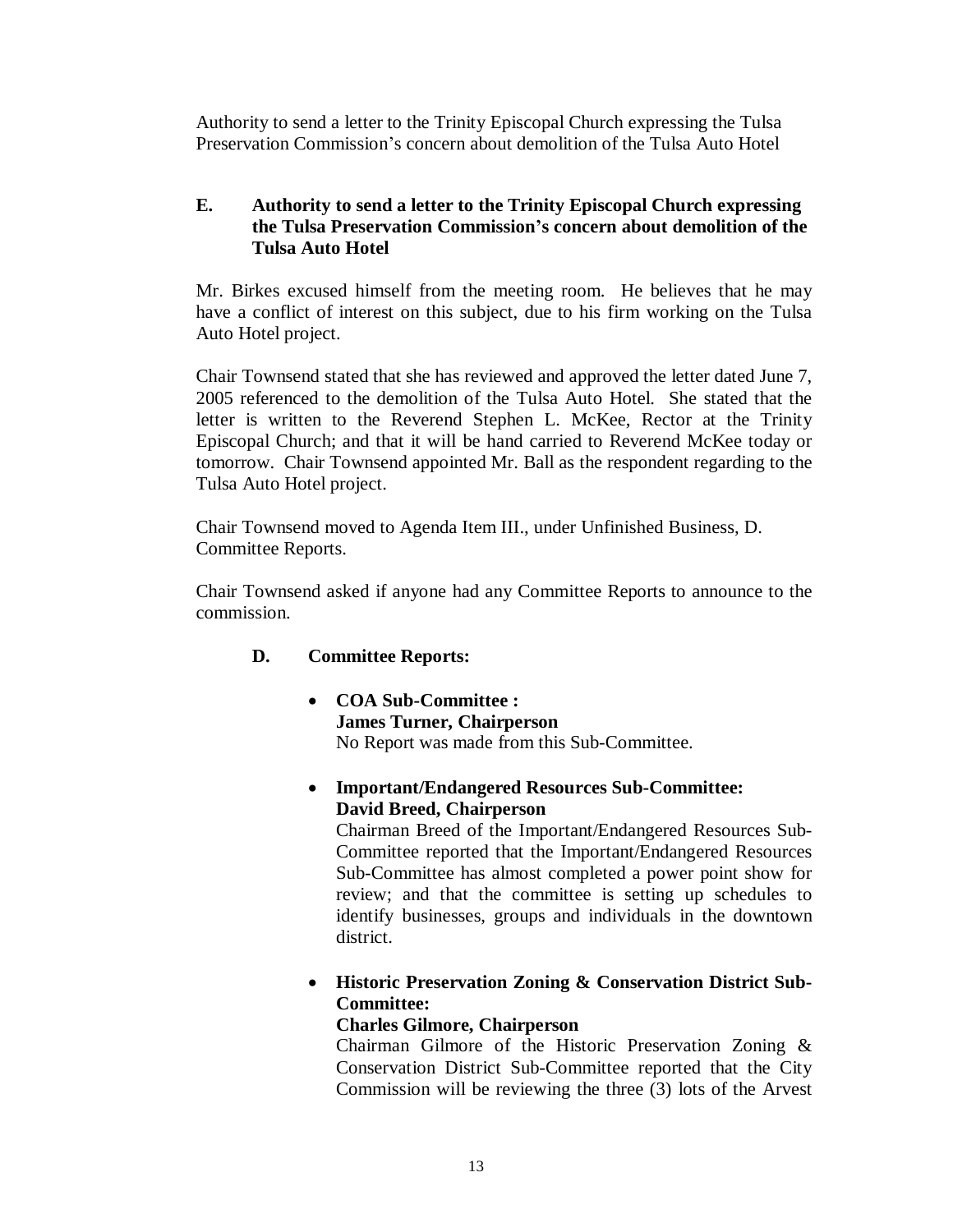Authority to send a letter to the Trinity Episcopal Church expressing the Tulsa Preservation Commission's concern about demolition of the Tulsa Auto Hotel

# **E. Authority to send a letter to the Trinity Episcopal Church expressing the Tulsa Preservation Commission's concern about demolition of the Tulsa Auto Hotel**

Mr. Birkes excused himself from the meeting room. He believes that he may have a conflict of interest on this subject, due to his firm working on the Tulsa Auto Hotel project.

Chair Townsend stated that she has reviewed and approved the letter dated June 7, 2005 referenced to the demolition of the Tulsa Auto Hotel. She stated that the letter is written to the Reverend Stephen L. McKee, Rector at the Trinity Episcopal Church; and that it will be hand carried to Reverend McKee today or tomorrow. Chair Townsend appointed Mr. Ball as the respondent regarding to the Tulsa Auto Hotel project.

Chair Townsend moved to Agenda Item III., under Unfinished Business, D. Committee Reports.

Chair Townsend asked if anyone had any Committee Reports to announce to the commission.

# **D. Committee Reports:**

- **COA Sub-Committee : James Turner, Chairperson** No Report was made from this Sub-Committee.
- **Important/Endangered Resources Sub-Committee: David Breed, Chairperson**

Chairman Breed of the Important/Endangered Resources Sub-Committee reported that the Important/Endangered Resources Sub-Committee has almost completed a power point show for review; and that the committee is setting up schedules to identify businesses, groups and individuals in the downtown district.

 **Historic Preservation Zoning & Conservation District Sub-Committee:**

# **Charles Gilmore, Chairperson**

Chairman Gilmore of the Historic Preservation Zoning & Conservation District Sub-Committee reported that the City Commission will be reviewing the three (3) lots of the Arvest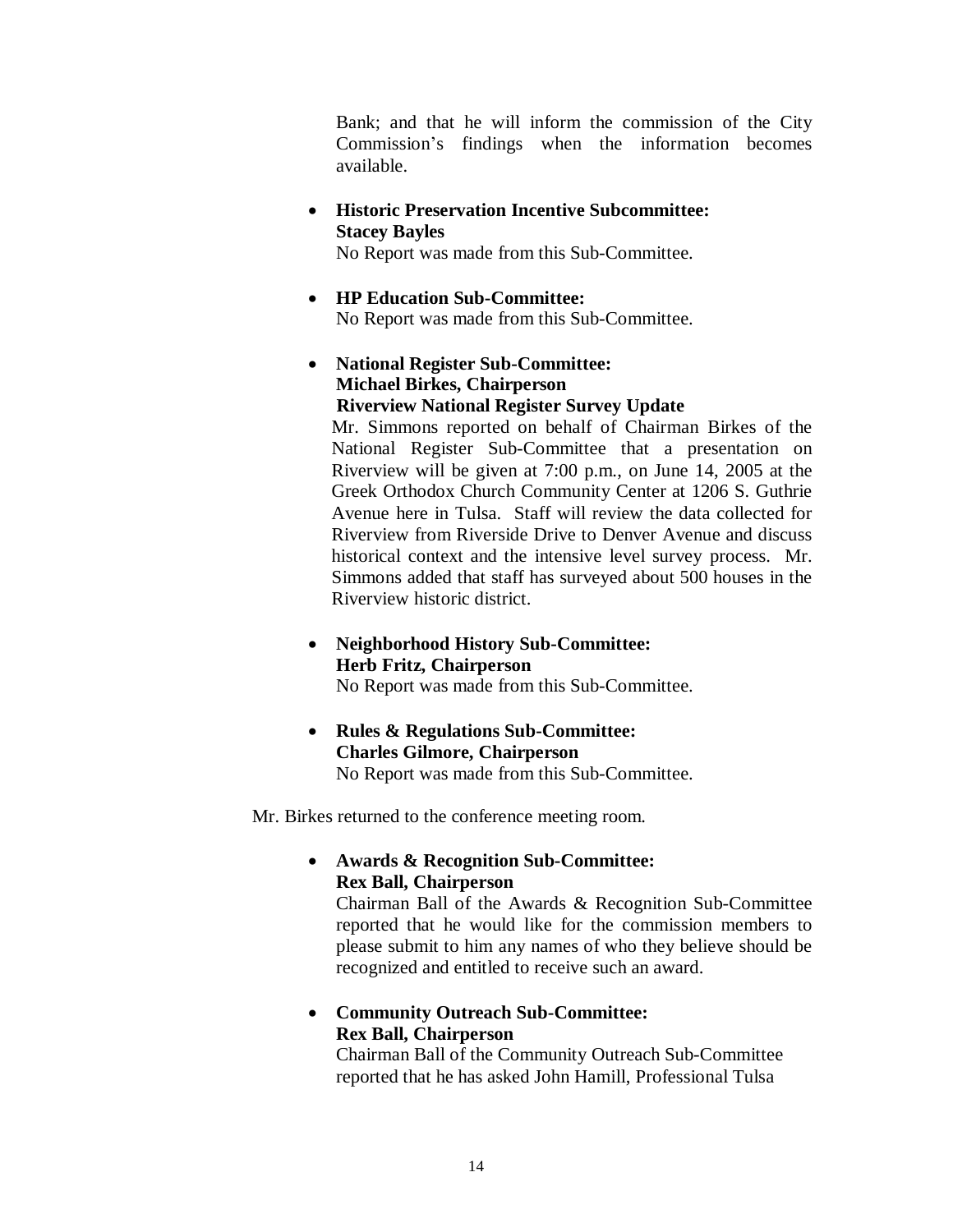Bank; and that he will inform the commission of the City Commission's findings when the information becomes available.

 **Historic Preservation Incentive Subcommittee: Stacey Bayles**

No Report was made from this Sub-Committee.

- **HP Education Sub-Committee:** No Report was made from this Sub-Committee.
- **National Register Sub-Committee: Michael Birkes, Chairperson Riverview National Register Survey Update**

Mr. Simmons reported on behalf of Chairman Birkes of the National Register Sub-Committee that a presentation on Riverview will be given at 7:00 p.m., on June 14, 2005 at the Greek Orthodox Church Community Center at 1206 S. Guthrie Avenue here in Tulsa. Staff will review the data collected for Riverview from Riverside Drive to Denver Avenue and discuss historical context and the intensive level survey process. Mr. Simmons added that staff has surveyed about 500 houses in the Riverview historic district.

 **Neighborhood History Sub-Committee: Herb Fritz, Chairperson**

No Report was made from this Sub-Committee.

 **Rules & Regulations Sub-Committee: Charles Gilmore, Chairperson** No Report was made from this Sub-Committee.

Mr. Birkes returned to the conference meeting room.

 **Awards & Recognition Sub-Committee: Rex Ball, Chairperson**

Chairman Ball of the Awards & Recognition Sub-Committee reported that he would like for the commission members to please submit to him any names of who they believe should be recognized and entitled to receive such an award.

 **Community Outreach Sub-Committee: Rex Ball, Chairperson**

Chairman Ball of the Community Outreach Sub-Committee reported that he has asked John Hamill, Professional Tulsa